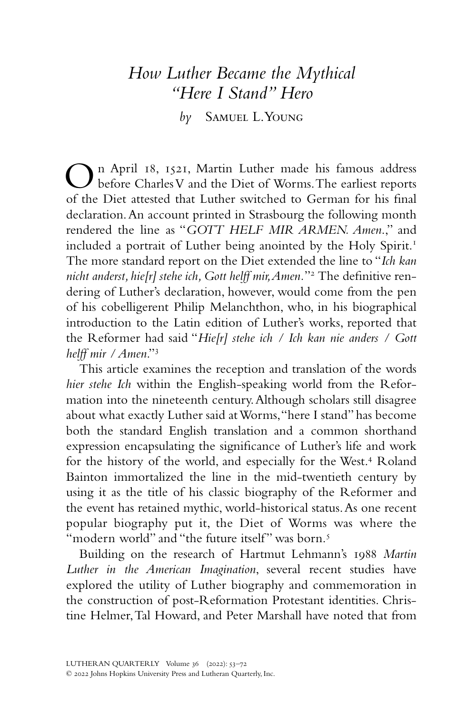# *How Luther Became the Mythical "Here I Stand" Hero*

*by* Samuel L. Young

On April 18, 1521, Martin Luther made his famous address before Charles V and the Diet of Worms. The earliest reports of the Diet attested that Luther switched to German for his final declaration. An account printed in Strasbourg the following month rendered the line as "*GOTT HELF MIR ARMEN. Amen*.," and included a portrait of Luther being anointed by the Holy Spirit.<sup>1</sup> The more standard report on the Diet extended the line to "*Ich kan nicht anderst, hie[r] stehe ich, Gott helff mir, Amen.*"2 The definitive rendering of Luther's declaration, however, would come from the pen of his cobelligerent Philip Melanchthon, who, in his biographical introduction to the Latin edition of Luther's works, reported that the Reformer had said "*Hie[r] stehe ich / Ich kan nie anders / Gott helff mir / Amen*."3

This article examines the reception and translation of the words *hier stehe Ich* within the English-speaking world from the Reformation into the nineteenth century. Although scholars still disagree about what exactly Luther said at Worms, "here I stand" has become both the standard English translation and a common shorthand expression encapsulating the significance of Luther's life and work for the history of the world, and especially for the West.<sup>4</sup> Roland Bainton immortalized the line in the mid-twentieth century by using it as the title of his classic biography of the Reformer and the event has retained mythic, world-historical status. As one recent popular biography put it, the Diet of Worms was where the "modern world" and "the future itself" was born.<sup>5</sup>

Building on the research of Hartmut Lehmann's 1988 *Martin Luther in the American Imagination*, several recent studies have explored the utility of Luther biography and commemoration in the construction of post-Reformation Protestant identities. Christine Helmer, Tal Howard, and Peter Marshall have noted that from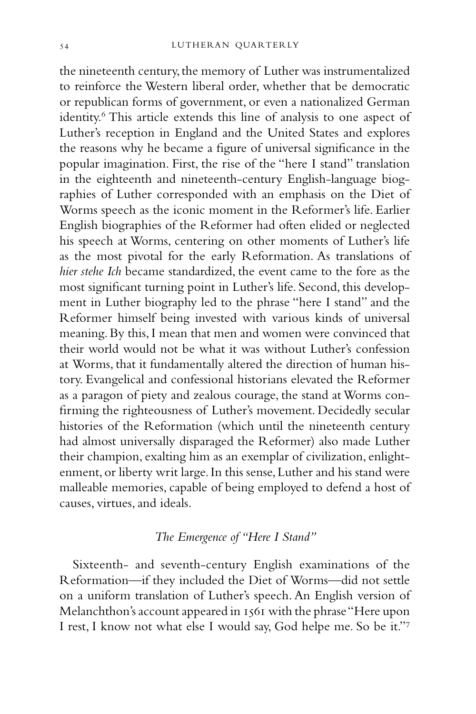the nineteenth century, the memory of Luther was instrumentalized to reinforce the Western liberal order, whether that be democratic or republican forms of government, or even a nationalized German identity.<sup>6</sup> This article extends this line of analysis to one aspect of Luther's reception in England and the United States and explores the reasons why he became a figure of universal significance in the popular imagination. First, the rise of the "here I stand" translation in the eighteenth and nineteenth-century English-language biographies of Luther corresponded with an emphasis on the Diet of Worms speech as the iconic moment in the Reformer's life. Earlier English biographies of the Reformer had often elided or neglected his speech at Worms, centering on other moments of Luther's life as the most pivotal for the early Reformation. As translations of *hier stehe Ich* became standardized, the event came to the fore as the most significant turning point in Luther's life. Second, this development in Luther biography led to the phrase "here I stand" and the Reformer himself being invested with various kinds of universal meaning. By this, I mean that men and women were convinced that their world would not be what it was without Luther's confession at Worms, that it fundamentally altered the direction of human history. Evangelical and confessional historians elevated the Reformer as a paragon of piety and zealous courage, the stand at Worms confirming the righteousness of Luther's movement. Decidedly secular histories of the Reformation (which until the nineteenth century had almost universally disparaged the Reformer) also made Luther their champion, exalting him as an exemplar of civilization, enlightenment, or liberty writ large. In this sense, Luther and his stand were malleable memories, capable of being employed to defend a host of causes, virtues, and ideals.

# *The Emergence of "Here I Stand"*

Sixteenth- and seventh-century English examinations of the Reformation—if they included the Diet of Worms—did not settle on a uniform translation of Luther's speech. An English version of Melanchthon's account appeared in 1561 with the phrase "Here upon I rest, I know not what else I would say, God helpe me. So be it."7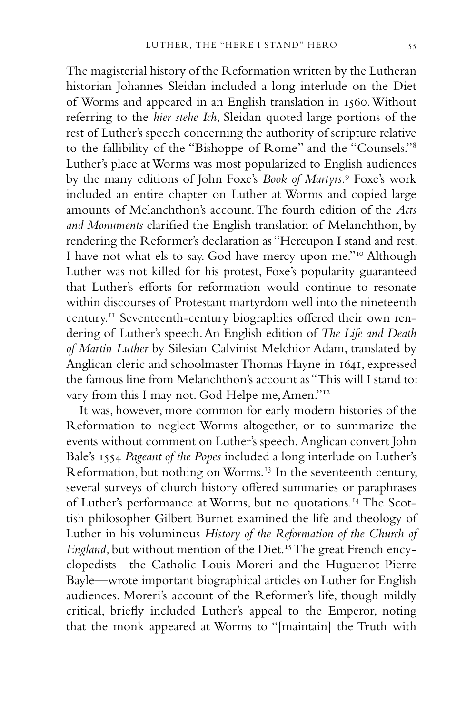The magisterial history of the Reformation written by the Lutheran historian Johannes Sleidan included a long interlude on the Diet of Worms and appeared in an English translation in 1560. Without referring to the *hier stehe Ich*, Sleidan quoted large portions of the rest of Luther's speech concerning the authority of scripture relative to the fallibility of the "Bishoppe of Rome" and the "Counsels."8 Luther's place at Worms was most popularized to English audiences by the many editions of John Foxe's *Book of Martyrs*. 9 Foxe's work included an entire chapter on Luther at Worms and copied large amounts of Melanchthon's account. The fourth edition of the *Acts and Monuments* clarified the English translation of Melanchthon, by rendering the Reformer's declaration as "Hereupon I stand and rest. I have not what els to say. God have mercy upon me."10 Although Luther was not killed for his protest, Foxe's popularity guaranteed that Luther's efforts for reformation would continue to resonate within discourses of Protestant martyrdom well into the nineteenth century.11 Seventeenth-century biographies offered their own rendering of Luther's speech. An English edition of *The Life and Death of Martin Luther* by Silesian Calvinist Melchior Adam, translated by Anglican cleric and schoolmaster Thomas Hayne in 1641, expressed the famous line from Melanchthon's account as "This will I stand to: vary from this I may not. God Helpe me, Amen."12

It was, however, more common for early modern histories of the Reformation to neglect Worms altogether, or to summarize the events without comment on Luther's speech. Anglican convert John Bale's 1554 *Pageant of the Popes* included a long interlude on Luther's Reformation, but nothing on Worms.<sup>13</sup> In the seventeenth century, several surveys of church history offered summaries or paraphrases of Luther's performance at Worms, but no quotations.14 The Scottish philosopher Gilbert Burnet examined the life and theology of Luther in his voluminous *History of the Reformation of the Church of England,* but without mention of the Diet.15 The great French encyclopedists—the Catholic Louis Moreri and the Huguenot Pierre Bayle—wrote important biographical articles on Luther for English audiences. Moreri's account of the Reformer's life, though mildly critical, briefly included Luther's appeal to the Emperor, noting that the monk appeared at Worms to "[maintain] the Truth with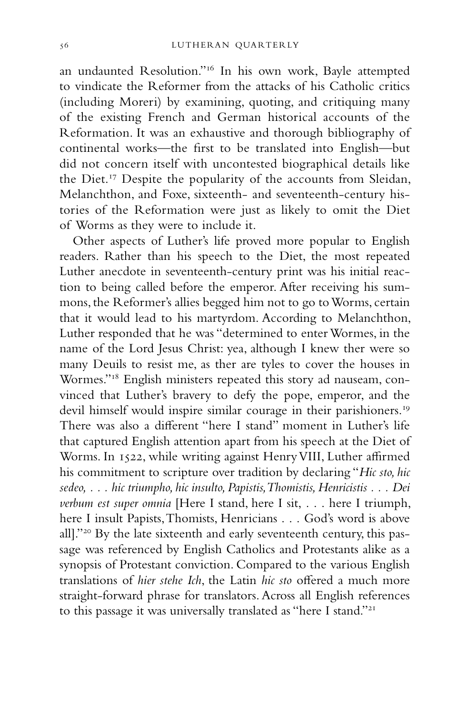an undaunted Resolution."16 In his own work, Bayle attempted to vindicate the Reformer from the attacks of his Catholic critics (including Moreri) by examining, quoting, and critiquing many of the existing French and German historical accounts of the Reformation. It was an exhaustive and thorough bibliography of continental works—the first to be translated into English—but did not concern itself with uncontested biographical details like the Diet.17 Despite the popularity of the accounts from Sleidan, Melanchthon, and Foxe, sixteenth- and seventeenth-century histories of the Reformation were just as likely to omit the Diet of Worms as they were to include it.

Other aspects of Luther's life proved more popular to English readers. Rather than his speech to the Diet, the most repeated Luther anecdote in seventeenth-century print was his initial reaction to being called before the emperor. After receiving his summons, the Reformer's allies begged him not to go to Worms, certain that it would lead to his martyrdom. According to Melanchthon, Luther responded that he was "determined to enter Wormes, in the name of the Lord Jesus Christ: yea, although I knew ther were so many Deuils to resist me, as ther are tyles to cover the houses in Wormes."18 English ministers repeated this story ad nauseam, convinced that Luther's bravery to defy the pope, emperor, and the devil himself would inspire similar courage in their parishioners.<sup>19</sup> There was also a different "here I stand" moment in Luther's life that captured English attention apart from his speech at the Diet of Worms. In 1522, while writing against Henry VIII, Luther affirmed his commitment to scripture over tradition by declaring "*Hic sto, hic sedeo, . . . hic triumpho, hic insulto, Papistis, Thomistis, Henricistis . . . Dei verbum est super omnia* [Here I stand, here I sit, . . . here I triumph, here I insult Papists, Thomists, Henricians . . . God's word is above all]."20 By the late sixteenth and early seventeenth century, this passage was referenced by English Catholics and Protestants alike as a synopsis of Protestant conviction. Compared to the various English translations of *hier stehe Ich*, the Latin *hic sto* offered a much more straight-forward phrase for translators. Across all English references to this passage it was universally translated as "here I stand."21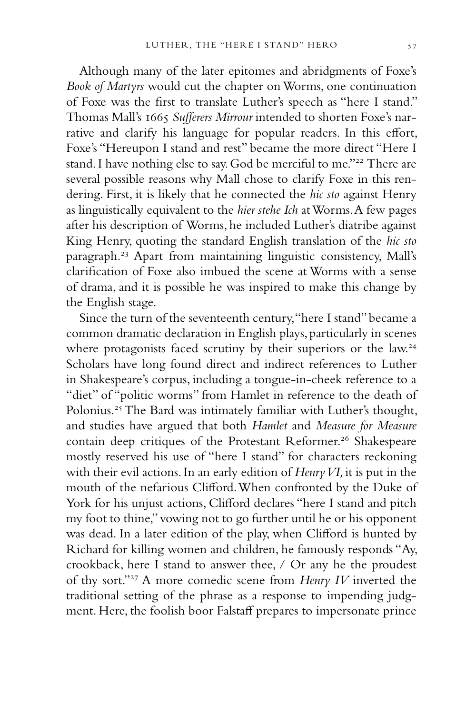Although many of the later epitomes and abridgments of Foxe's *Book of Martyrs* would cut the chapter on Worms, one continuation of Foxe was the first to translate Luther's speech as "here I stand." Thomas Mall's 1665 *Sufferers Mirrour* intended to shorten Foxe's narrative and clarify his language for popular readers. In this effort, Foxe's "Hereupon I stand and rest" became the more direct "Here I stand. I have nothing else to say. God be merciful to me."<sup>22</sup> There are several possible reasons why Mall chose to clarify Foxe in this rendering. First, it is likely that he connected the *hic sto* against Henry as linguistically equivalent to the *hier stehe Ich* at Worms. A few pages after his description of Worms, he included Luther's diatribe against King Henry, quoting the standard English translation of the *hic sto*  paragraph.23 Apart from maintaining linguistic consistency, Mall's clarification of Foxe also imbued the scene at Worms with a sense of drama, and it is possible he was inspired to make this change by the English stage.

Since the turn of the seventeenth century, "here I stand" became a common dramatic declaration in English plays, particularly in scenes where protagonists faced scrutiny by their superiors or the law.<sup>24</sup> Scholars have long found direct and indirect references to Luther in Shakespeare's corpus, including a tongue-in-cheek reference to a "diet" of "politic worms" from Hamlet in reference to the death of Polonius.25 The Bard was intimately familiar with Luther's thought, and studies have argued that both *Hamlet* and *Measure for Measure* contain deep critiques of the Protestant Reformer.<sup>26</sup> Shakespeare mostly reserved his use of "here I stand" for characters reckoning with their evil actions. In an early edition of *Henry VI,* it is put in the mouth of the nefarious Clifford. When confronted by the Duke of York for his unjust actions, Clifford declares "here I stand and pitch my foot to thine," vowing not to go further until he or his opponent was dead. In a later edition of the play, when Clifford is hunted by Richard for killing women and children, he famously responds "Ay, crookback, here I stand to answer thee, / Or any he the proudest of thy sort."27 A more comedic scene from *Henry IV* inverted the traditional setting of the phrase as a response to impending judgment. Here, the foolish boor Falstaff prepares to impersonate prince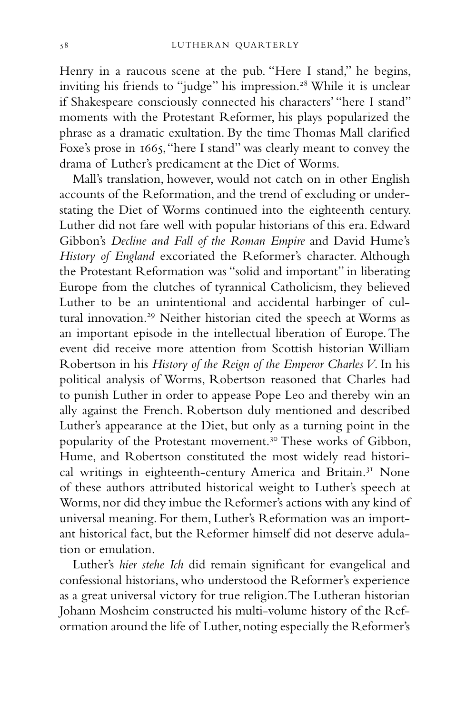Henry in a raucous scene at the pub. "Here I stand," he begins, inviting his friends to "judge" his impression.<sup>28</sup> While it is unclear if Shakespeare consciously connected his characters' "here I stand" moments with the Protestant Reformer, his plays popularized the phrase as a dramatic exultation. By the time Thomas Mall clarified Foxe's prose in 1665, "here I stand" was clearly meant to convey the drama of Luther's predicament at the Diet of Worms.

Mall's translation, however, would not catch on in other English accounts of the Reformation, and the trend of excluding or understating the Diet of Worms continued into the eighteenth century. Luther did not fare well with popular historians of this era. Edward Gibbon's *Decline and Fall of the Roman Empire* and David Hume's *History of England* excoriated the Reformer's character. Although the Protestant Reformation was "solid and important" in liberating Europe from the clutches of tyrannical Catholicism, they believed Luther to be an unintentional and accidental harbinger of cultural innovation.<sup>29</sup> Neither historian cited the speech at Worms as an important episode in the intellectual liberation of Europe. The event did receive more attention from Scottish historian William Robertson in his *History of the Reign of the Emperor Charles V*. In his political analysis of Worms, Robertson reasoned that Charles had to punish Luther in order to appease Pope Leo and thereby win an ally against the French. Robertson duly mentioned and described Luther's appearance at the Diet, but only as a turning point in the popularity of the Protestant movement.<sup>30</sup> These works of Gibbon, Hume, and Robertson constituted the most widely read historical writings in eighteenth-century America and Britain.31 None of these authors attributed historical weight to Luther's speech at Worms, nor did they imbue the Reformer's actions with any kind of universal meaning. For them, Luther's Reformation was an important historical fact, but the Reformer himself did not deserve adulation or emulation.

Luther's *hier stehe Ich* did remain significant for evangelical and confessional historians, who understood the Reformer's experience as a great universal victory for true religion. The Lutheran historian Johann Mosheim constructed his multi-volume history of the Reformation around the life of Luther, noting especially the Reformer's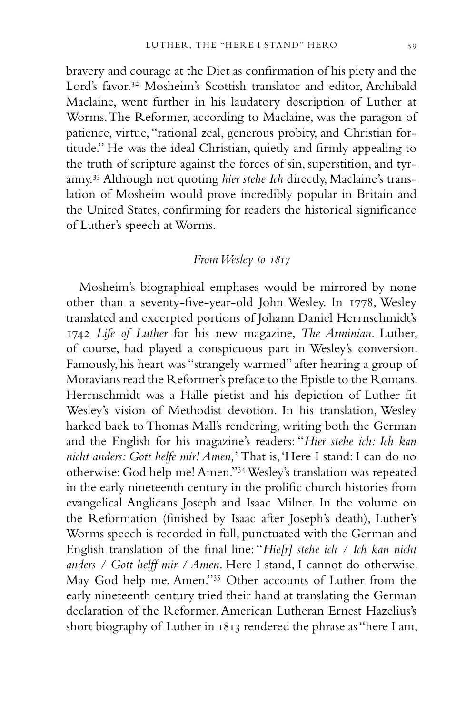bravery and courage at the Diet as confirmation of his piety and the Lord's favor.<sup>32</sup> Mosheim's Scottish translator and editor, Archibald Maclaine, went further in his laudatory description of Luther at Worms. The Reformer, according to Maclaine, was the paragon of patience, virtue, "rational zeal, generous probity, and Christian fortitude." He was the ideal Christian, quietly and firmly appealing to the truth of scripture against the forces of sin, superstition, and tyranny.33 Although not quoting *hier stehe Ich* directly, Maclaine's translation of Mosheim would prove incredibly popular in Britain and the United States, confirming for readers the historical significance of Luther's speech at Worms.

# *From Wesley to 1817*

Mosheim's biographical emphases would be mirrored by none other than a seventy-five-year-old John Wesley. In 1778, Wesley translated and excerpted portions of Johann Daniel Herrnschmidt's 1742 *Life of Luther* for his new magazine, *The Arminian*. Luther, of course, had played a conspicuous part in Wesley's conversion. Famously, his heart was "strangely warmed" after hearing a group of Moravians read the Reformer's preface to the Epistle to the Romans. Herrnschmidt was a Halle pietist and his depiction of Luther fit Wesley's vision of Methodist devotion. In his translation, Wesley harked back to Thomas Mall's rendering, writing both the German and the English for his magazine's readers: "*Hier stehe ich: Ich kan nicht anders: Gott helfe mir! Amen,*' That is, 'Here I stand: I can do no otherwise: God help me! Amen."34 Wesley's translation was repeated in the early nineteenth century in the prolific church histories from evangelical Anglicans Joseph and Isaac Milner. In the volume on the Reformation (finished by Isaac after Joseph's death), Luther's Worms speech is recorded in full, punctuated with the German and English translation of the final line: "*Hie[r] stehe ich / Ich kan nicht anders / Gott helff mir / Amen*. Here I stand, I cannot do otherwise. May God help me. Amen."35 Other accounts of Luther from the early nineteenth century tried their hand at translating the German declaration of the Reformer. American Lutheran Ernest Hazelius's short biography of Luther in 1813 rendered the phrase as "here I am,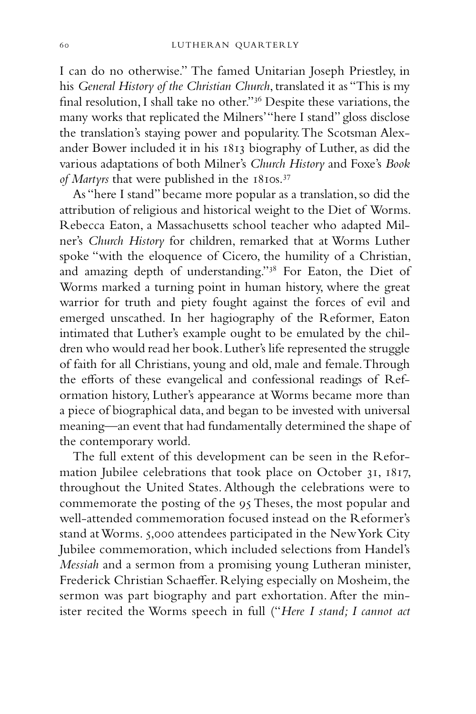I can do no otherwise." The famed Unitarian Joseph Priestley, in his *General History of the Christian Church*, translated it as "This is my final resolution, I shall take no other."36 Despite these variations, the many works that replicated the Milners' "here I stand" gloss disclose the translation's staying power and popularity. The Scotsman Alexander Bower included it in his 1813 biography of Luther, as did the various adaptations of both Milner's *Church History* and Foxe's *Book of Martyrs* that were published in the 1810s.<sup>37</sup>

As "here I stand" became more popular as a translation, so did the attribution of religious and historical weight to the Diet of Worms. Rebecca Eaton, a Massachusetts school teacher who adapted Milner's *Church History* for children, remarked that at Worms Luther spoke "with the eloquence of Cicero, the humility of a Christian, and amazing depth of understanding."38 For Eaton, the Diet of Worms marked a turning point in human history, where the great warrior for truth and piety fought against the forces of evil and emerged unscathed. In her hagiography of the Reformer, Eaton intimated that Luther's example ought to be emulated by the children who would read her book. Luther's life represented the struggle of faith for all Christians, young and old, male and female. Through the efforts of these evangelical and confessional readings of Reformation history, Luther's appearance at Worms became more than a piece of biographical data, and began to be invested with universal meaning—an event that had fundamentally determined the shape of the contemporary world.

The full extent of this development can be seen in the Reformation Jubilee celebrations that took place on October 31, 1817, throughout the United States. Although the celebrations were to commemorate the posting of the 95 Theses, the most popular and well-attended commemoration focused instead on the Reformer's stand at Worms. 5,000 attendees participated in the New York City Jubilee commemoration, which included selections from Handel's *Messiah* and a sermon from a promising young Lutheran minister, Frederick Christian Schaeffer. Relying especially on Mosheim, the sermon was part biography and part exhortation. After the minister recited the Worms speech in full ("*Here I stand; I cannot act*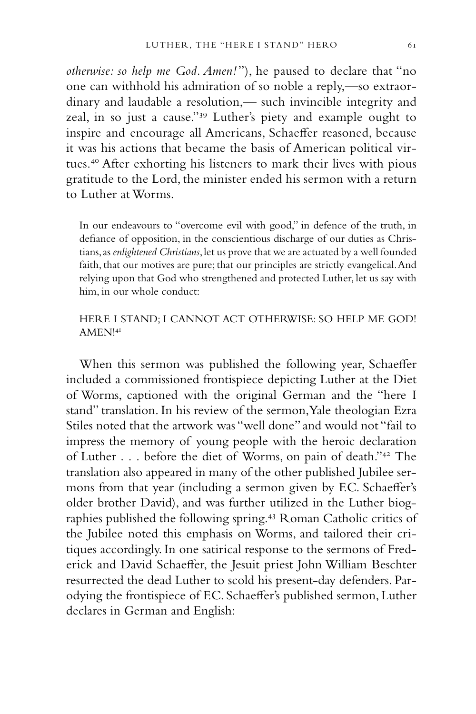*otherwise: so help me God. Amen!* "), he paused to declare that "no one can withhold his admiration of so noble a reply,—so extraordinary and laudable a resolution,— such invincible integrity and zeal, in so just a cause."39 Luther's piety and example ought to inspire and encourage all Americans, Schaeffer reasoned, because it was his actions that became the basis of American political virtues.40 After exhorting his listeners to mark their lives with pious gratitude to the Lord, the minister ended his sermon with a return to Luther at Worms.

In our endeavours to "overcome evil with good," in defence of the truth, in defiance of opposition, in the conscientious discharge of our duties as Christians, as *enlightened Christians*, let us prove that we are actuated by a well founded faith, that our motives are pure; that our principles are strictly evangelical. And relying upon that God who strengthened and protected Luther, let us say with him, in our whole conduct:

### HERE I STAND; I CANNOT ACT OTHERWISE: SO HELP ME GOD! AMEN!41

When this sermon was published the following year, Schaeffer included a commissioned frontispiece depicting Luther at the Diet of Worms, captioned with the original German and the "here I stand" translation. In his review of the sermon, Yale theologian Ezra Stiles noted that the artwork was "well done" and would not "fail to impress the memory of young people with the heroic declaration of Luther . . . before the diet of Worms, on pain of death."42 The translation also appeared in many of the other published Jubilee sermons from that year (including a sermon given by F.C. Schaeffer's older brother David), and was further utilized in the Luther biographies published the following spring.43 Roman Catholic critics of the Jubilee noted this emphasis on Worms, and tailored their critiques accordingly. In one satirical response to the sermons of Frederick and David Schaeffer, the Jesuit priest John William Beschter resurrected the dead Luther to scold his present-day defenders. Parodying the frontispiece of F.C. Schaeffer's published sermon, Luther declares in German and English: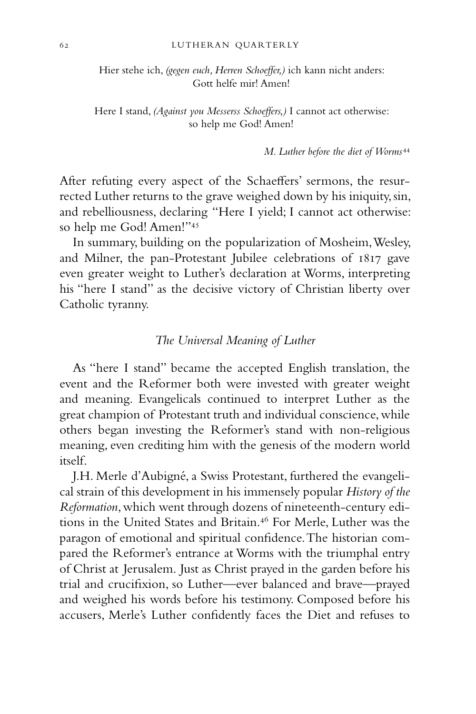Hier stehe ich, *(gegen euch, Herren Schoeffer,)* ich kann nicht anders: Gott helfe mir! Amen!

Here I stand, *(Against you Messerss Schoeffers,)* I cannot act otherwise: so help me God! Amen!

*M. Luther before the diet of Worms*<sup>44</sup>

After refuting every aspect of the Schaeffers' sermons, the resurrected Luther returns to the grave weighed down by his iniquity, sin, and rebelliousness, declaring "Here I yield; I cannot act otherwise: so help me God! Amen!"45

In summary, building on the popularization of Mosheim, Wesley, and Milner, the pan-Protestant Jubilee celebrations of 1817 gave even greater weight to Luther's declaration at Worms, interpreting his "here I stand" as the decisive victory of Christian liberty over Catholic tyranny.

### *The Universal Meaning of Luther*

As "here I stand" became the accepted English translation, the event and the Reformer both were invested with greater weight and meaning. Evangelicals continued to interpret Luther as the great champion of Protestant truth and individual conscience, while others began investing the Reformer's stand with non-religious meaning, even crediting him with the genesis of the modern world itself.

J.H. Merle d'Aubigné, a Swiss Protestant, furthered the evangelical strain of this development in his immensely popular *History of the Reformation*, which went through dozens of nineteenth-century editions in the United States and Britain.<sup>46</sup> For Merle, Luther was the paragon of emotional and spiritual confidence. The historian compared the Reformer's entrance at Worms with the triumphal entry of Christ at Jerusalem. Just as Christ prayed in the garden before his trial and crucifixion, so Luther—ever balanced and brave—prayed and weighed his words before his testimony. Composed before his accusers, Merle's Luther confidently faces the Diet and refuses to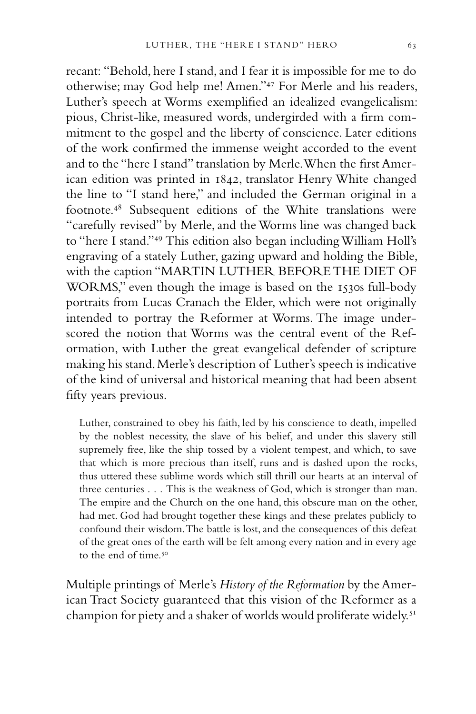recant: "Behold, here I stand, and I fear it is impossible for me to do otherwise; may God help me! Amen."47 For Merle and his readers, Luther's speech at Worms exemplified an idealized evangelicalism: pious, Christ-like, measured words, undergirded with a firm commitment to the gospel and the liberty of conscience. Later editions of the work confirmed the immense weight accorded to the event and to the "here I stand" translation by Merle. When the first American edition was printed in 1842, translator Henry White changed the line to "I stand here," and included the German original in a footnote.48 Subsequent editions of the White translations were "carefully revised" by Merle, and the Worms line was changed back to "here I stand."49 This edition also began including William Holl's engraving of a stately Luther, gazing upward and holding the Bible, with the caption "MARTIN LUTHER BEFORE THE DIET OF WORMS," even though the image is based on the 1530s full-body portraits from Lucas Cranach the Elder, which were not originally intended to portray the Reformer at Worms. The image underscored the notion that Worms was the central event of the Reformation, with Luther the great evangelical defender of scripture making his stand. Merle's description of Luther's speech is indicative of the kind of universal and historical meaning that had been absent fifty years previous.

Luther, constrained to obey his faith, led by his conscience to death, impelled by the noblest necessity, the slave of his belief, and under this slavery still supremely free, like the ship tossed by a violent tempest, and which, to save that which is more precious than itself, runs and is dashed upon the rocks, thus uttered these sublime words which still thrill our hearts at an interval of three centuries . . . This is the weakness of God, which is stronger than man. The empire and the Church on the one hand, this obscure man on the other, had met. God had brought together these kings and these prelates publicly to confound their wisdom. The battle is lost, and the consequences of this defeat of the great ones of the earth will be felt among every nation and in every age to the end of time.<sup>50</sup>

Multiple printings of Merle's *History of the Reformation* by the American Tract Society guaranteed that this vision of the Reformer as a champion for piety and a shaker of worlds would proliferate widely.<sup>51</sup>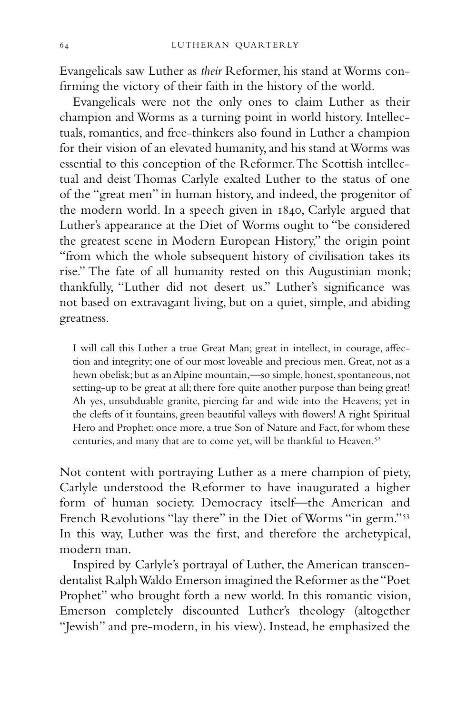Evangelicals saw Luther as *their* Reformer, his stand at Worms confirming the victory of their faith in the history of the world.

Evangelicals were not the only ones to claim Luther as their champion and Worms as a turning point in world history. Intellectuals, romantics, and free-thinkers also found in Luther a champion for their vision of an elevated humanity, and his stand at Worms was essential to this conception of the Reformer. The Scottish intellectual and deist Thomas Carlyle exalted Luther to the status of one of the "great men" in human history, and indeed, the progenitor of the modern world. In a speech given in 1840, Carlyle argued that Luther's appearance at the Diet of Worms ought to "be considered the greatest scene in Modern European History," the origin point "from which the whole subsequent history of civilisation takes its rise." The fate of all humanity rested on this Augustinian monk; thankfully, "Luther did not desert us." Luther's significance was not based on extravagant living, but on a quiet, simple, and abiding greatness.

I will call this Luther a true Great Man; great in intellect, in courage, affection and integrity; one of our most loveable and precious men. Great, not as a hewn obelisk; but as an Alpine mountain,—so simple, honest, spontaneous, not setting-up to be great at all; there fore quite another purpose than being great! Ah yes, unsubduable granite, piercing far and wide into the Heavens; yet in the clefts of it fountains, green beautiful valleys with flowers! A right Spiritual Hero and Prophet; once more, a true Son of Nature and Fact, for whom these centuries, and many that are to come yet, will be thankful to Heaven.<sup>52</sup>

Not content with portraying Luther as a mere champion of piety, Carlyle understood the Reformer to have inaugurated a higher form of human society. Democracy itself—the American and French Revolutions "lay there" in the Diet of Worms "in germ."<sup>53</sup> In this way, Luther was the first, and therefore the archetypical, modern man.

Inspired by Carlyle's portrayal of Luther, the American transcendentalist Ralph Waldo Emerson imagined the Reformer as the "Poet Prophet" who brought forth a new world. In this romantic vision, Emerson completely discounted Luther's theology (altogether "Jewish" and pre-modern, in his view). Instead, he emphasized the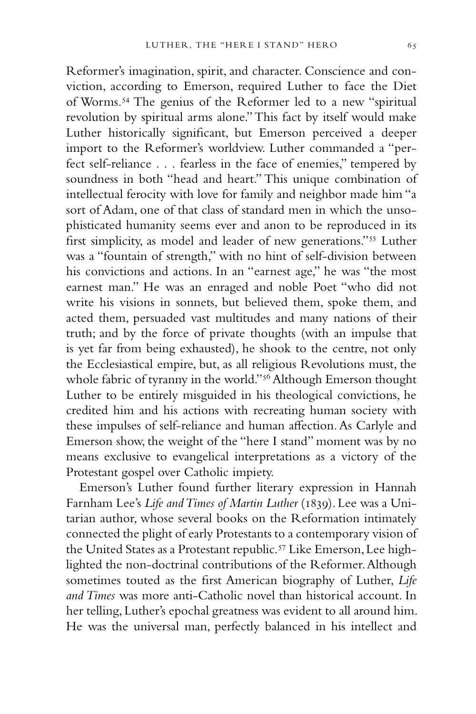Reformer's imagination, spirit, and character. Conscience and conviction, according to Emerson, required Luther to face the Diet of Worms.54 The genius of the Reformer led to a new "spiritual revolution by spiritual arms alone." This fact by itself would make Luther historically significant, but Emerson perceived a deeper import to the Reformer's worldview. Luther commanded a "perfect self-reliance . . . fearless in the face of enemies," tempered by soundness in both "head and heart." This unique combination of intellectual ferocity with love for family and neighbor made him "a sort of Adam, one of that class of standard men in which the unsophisticated humanity seems ever and anon to be reproduced in its first simplicity, as model and leader of new generations."55 Luther was a "fountain of strength," with no hint of self-division between his convictions and actions. In an "earnest age," he was "the most earnest man." He was an enraged and noble Poet "who did not write his visions in sonnets, but believed them, spoke them, and acted them, persuaded vast multitudes and many nations of their truth; and by the force of private thoughts (with an impulse that is yet far from being exhausted), he shook to the centre, not only the Ecclesiastical empire, but, as all religious Revolutions must, the whole fabric of tyranny in the world."<sup>56</sup> Although Emerson thought Luther to be entirely misguided in his theological convictions, he credited him and his actions with recreating human society with these impulses of self-reliance and human affection. As Carlyle and Emerson show, the weight of the "here I stand" moment was by no means exclusive to evangelical interpretations as a victory of the

Emerson's Luther found further literary expression in Hannah Farnham Lee's *Life and Times of Martin Luther* (1839). Lee was a Unitarian author, whose several books on the Reformation intimately connected the plight of early Protestants to a contemporary vision of the United States as a Protestant republic.<sup>57</sup> Like Emerson, Lee highlighted the non-doctrinal contributions of the Reformer. Although sometimes touted as the first American biography of Luther, *Life and Times* was more anti-Catholic novel than historical account. In her telling, Luther's epochal greatness was evident to all around him. He was the universal man, perfectly balanced in his intellect and

Protestant gospel over Catholic impiety.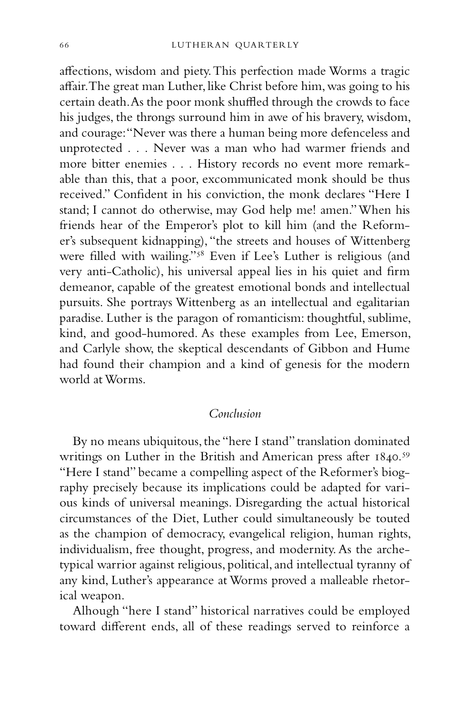affections, wisdom and piety. This perfection made Worms a tragic affair. The great man Luther, like Christ before him, was going to his certain death. As the poor monk shuffled through the crowds to face his judges, the throngs surround him in awe of his bravery, wisdom, and courage: "Never was there a human being more defenceless and unprotected . . . Never was a man who had warmer friends and more bitter enemies . . . History records no event more remarkable than this, that a poor, excommunicated monk should be thus received." Confident in his conviction, the monk declares "Here I stand; I cannot do otherwise, may God help me! amen." When his friends hear of the Emperor's plot to kill him (and the Reformer's subsequent kidnapping), "the streets and houses of Wittenberg were filled with wailing."<sup>58</sup> Even if Lee's Luther is religious (and very anti-Catholic), his universal appeal lies in his quiet and firm demeanor, capable of the greatest emotional bonds and intellectual pursuits. She portrays Wittenberg as an intellectual and egalitarian paradise. Luther is the paragon of romanticism: thoughtful, sublime, kind, and good-humored. As these examples from Lee, Emerson, and Carlyle show, the skeptical descendants of Gibbon and Hume had found their champion and a kind of genesis for the modern world at Worms.

## *Conclusion*

By no means ubiquitous, the "here I stand" translation dominated writings on Luther in the British and American press after 1840.<sup>59</sup> "Here I stand" became a compelling aspect of the Reformer's biography precisely because its implications could be adapted for various kinds of universal meanings. Disregarding the actual historical circumstances of the Diet, Luther could simultaneously be touted as the champion of democracy, evangelical religion, human rights, individualism, free thought, progress, and modernity. As the archetypical warrior against religious, political, and intellectual tyranny of any kind, Luther's appearance at Worms proved a malleable rhetorical weapon.

Alhough "here I stand" historical narratives could be employed toward different ends, all of these readings served to reinforce a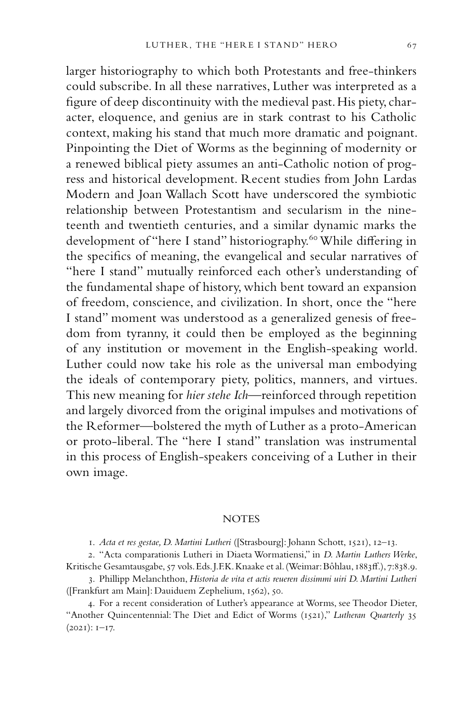larger historiography to which both Protestants and free-thinkers could subscribe. In all these narratives, Luther was interpreted as a figure of deep discontinuity with the medieval past. His piety, character, eloquence, and genius are in stark contrast to his Catholic context, making his stand that much more dramatic and poignant. Pinpointing the Diet of Worms as the beginning of modernity or a renewed biblical piety assumes an anti-Catholic notion of progress and historical development. Recent studies from John Lardas Modern and Joan Wallach Scott have underscored the symbiotic relationship between Protestantism and secularism in the nineteenth and twentieth centuries, and a similar dynamic marks the development of "here I stand" historiography.<sup>60</sup> While differing in the specifics of meaning, the evangelical and secular narratives of "here I stand" mutually reinforced each other's understanding of the fundamental shape of history, which bent toward an expansion of freedom, conscience, and civilization. In short, once the "here I stand" moment was understood as a generalized genesis of freedom from tyranny, it could then be employed as the beginning of any institution or movement in the English-speaking world. Luther could now take his role as the universal man embodying the ideals of contemporary piety, politics, manners, and virtues. This new meaning for *hier stehe Ich—*reinforced through repetition and largely divorced from the original impulses and motivations of the Reformer—bolstered the myth of Luther as a proto-American or proto-liberal. The "here I stand" translation was instrumental in this process of English-speakers conceiving of a Luther in their

own image.

#### **NOTES**

1. *Acta et res gestae, D. Martini Lutheri* ([Strasbourg]: Johann Schott, 1521), 12–13.

2. "Acta comparationis Lutheri in Diaeta Wormatiensi," in *D. Martin Luthers Werke*, Kritische Gesamtausgabe, 57 vols. Eds. J.F.K. Knaake et al. (Weimar: Bôhlau, 1883ff.), 7:838.9.

3. Phillipp Melanchthon, *Historia de vita et actis reueren dissimmi uiri D. Martini Lutheri*  ([Frankfurt am Main]: Dauiduem Zephelium, 1562), 50.

4. For a recent consideration of Luther's appearance at Worms, see Theodor Dieter, "Another Quincentennial: The Diet and Edict of Worms (1521)," *Lutheran Quarterly* 35  $(2021): I-I7.$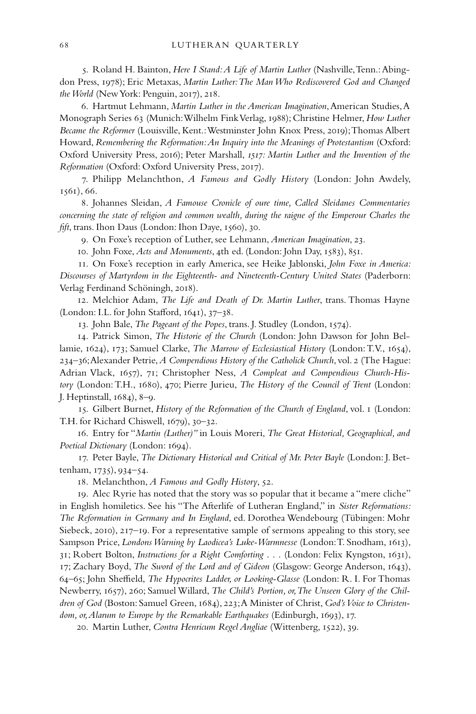5. Roland H. Bainton, *Here I Stand: A Life of Martin Luther* (Nashville, Tenn.: Abingdon Press, 1978); Eric Metaxas, *Martin Luther: The Man Who Rediscovered God and Changed the World* (New York: Penguin, 2017), 218.

6. Hartmut Lehmann, *Martin Luther in the American Imagination*, American Studies, A Monograph Series 63 (Munich: Wilhelm Fink Verlag, 1988); Christine Helmer, *How Luther Became the Reformer* (Louisville, Kent.: Westminster John Knox Press, 2019); Thomas Albert Howard, *Remembering the Reformation: An Inquiry into the Meanings of Protestantism* (Oxford: Oxford University Press, 2016); Peter Marshall, *1517: Martin Luther and the Invention of the Reformation* (Oxford: Oxford University Press, 2017).

7. Philipp Melanchthon, *A Famous and Godly History* (London: John Awdely, 1561), 66.

8. Johannes Sleidan, *A Famouse Cronicle of oure time, Called Sleidanes Commentaries concerning the state of religion and common wealth, during the raigne of the Emperour Charles the fift*, trans. Ihon Daus (London: Ihon Daye, 1560), 30.

9. On Foxe's reception of Luther, see Lehmann, *American Imagination*, 23.

10. John Foxe, *Acts and Monuments*, 4th ed. (London: John Day, 1583), 851.

11. On Foxe's reception in early America, see Heike Jablonski, *John Foxe in America: Discourses of Martyrdom in the Eighteenth- and Nineteenth-Century United States* (Paderborn: Verlag Ferdinand Schöningh, 2018).

12. Melchior Adam, *The Life and Death of Dr. Martin Luther*, trans. Thomas Hayne (London: I.L. for John Stafford, 1641), 37–38.

13. John Bale, *The Pageant of the Popes*, trans. J. Studley (London, 1574).

14. Patrick Simon, *The Historie of the Church* (London: John Dawson for John Bellamie, 1624), 173; Samuel Clarke, *The Marrow of Ecclesiastical History* (London: T.V., 1654), 234–36; Alexander Petrie, *A Compendious History of the Catholick Church*, vol. 2 (The Hague: Adrian Vlack, 1657), 71; Christopher Ness, *A Compleat and Compendious Church-History* (London: T.H., 1680), 470; Pierre Jurieu, *The History of the Council of Trent* (London: J. Heptinstall, 1684), 8–9.

15. Gilbert Burnet, *History of the Reformation of the Church of England*, vol. 1 (London: T.H. for Richard Chiswell, 1679), 30–32.

16. Entry for "*Martin (Luther)"* in Louis Moreri, *The Great Historical, Geographical, and Poetical Dictionary* (London: 1694).

17. Peter Bayle, *The Dictionary Historical and Critical of Mr. Peter Bayle* (London: J. Bettenham, 1735), 934–54.

18. Melanchthon, *A Famous and Godly History*, 52.

19. Alec Ryrie has noted that the story was so popular that it became a "mere cliche" in English homiletics. See his "The Afterlife of Lutheran England," in *Sister Reformations: The Reformation in Germany and In England*, ed. Dorothea Wendebourg (Tübingen: Mohr Siebeck, 2010), 217–19. For a representative sample of sermons appealing to this story, see Sampson Price, *Londons Warning by Laodicea's Luke-Warmnesse* (London: T. Snodham, 1613), 31; Robert Bolton, *Instructions for a Right Comforting* . . . (London: Felix Kyngston, 1631), 17; Zachary Boyd, *The Sword of the Lord and of Gideon* (Glasgow: George Anderson, 1643), 64–65; John Sheffield, *The Hypocrites Ladder, or Looking-Glasse* (London: R. I. For Thomas Newberry, 1657), 260; Samuel Willard, *The Child's Portion, or, The Unseen Glory of the Children of God* (Boston: Samuel Green, 1684), 223; A Minister of Christ, *God's Voice to Christendom, or, Alarum to Europe by the Remarkable Earthquakes* (Edinburgh, 1693), 17.

20. Martin Luther, *Contra Henricum Regel Angliae* (Wittenberg, 1522), 39.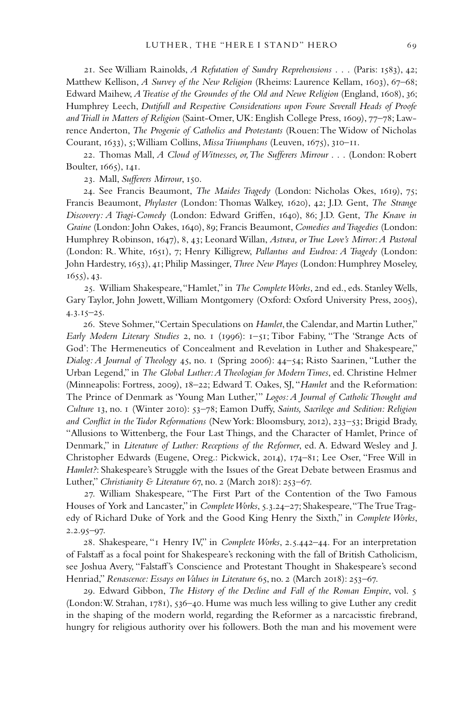21. See William Rainolds, *A Refutation of Sundry Reprehensions* . . . (Paris: 1583), 42; Matthew Kellison, *A Survey of the New Religion* (Rheims: Laurence Kellam, 1603), 67–68; Edward Maihew, *A Treatise of the Groundes of the Old and Newe Religion* (England, 1608), 36; Humphrey Leech, *Dutifull and Respective Considerations upon Foure Severall Heads of Proofe and Triall in Matters of Religion* (Saint-Omer, UK: English College Press, 1609), 77–78; Lawrence Anderton, *The Progenie of Catholics and Protestants* (Rouen: The Widow of Nicholas Courant, 1633), 5; William Collins, *Missa Triumphans* (Leuven, 1675), 310–11.

22. Thomas Mall, *A Cloud of Witnesses, or, The Sufferers Mirrour* . . . (London: Robert Boulter, 1665), 141.

23. Mall, *Sufferers Mirrour*, 150.

24. See Francis Beaumont, *The Maides Tragedy* (London: Nicholas Okes, 1619), 75; Francis Beaumont, *Phylaster* (London: Thomas Walkey, 1620), 42; J.D. Gent, *The Strange Discovery: A Tragi-Comedy* (London: Edward Griffen, 1640), 86; J.D. Gent, *The Knave in Graine* (London: John Oakes, 1640), 89; Francis Beaumont, *Comedies and Tragedies* (London: Humphrey Robinson, 1647), 8, 43; Leonard Willan, *Astræa, or True Love's Mirror: A Pastoral*  (London: R. White, 1651), 7; Henry Killigrew, *Pallantus and Eudroa: A Tragedy* (London: John Hardestry, 1653), 41; Philip Massinger, *Three New Playes* (London: Humphrey Moseley, 1655), 43.

25. William Shakespeare, "Hamlet," in *The Complete Works*, 2nd ed., eds. Stanley Wells, Gary Taylor, John Jowett, William Montgomery (Oxford: Oxford University Press, 2005), 4.3.15–25.

26. Steve Sohmer, "Certain Speculations on *Hamlet*, the Calendar, and Martin Luther," *Early Modern Literary Studies* 2, no. 1 (1996): 1–51; Tibor Fabiny, "The 'Strange Acts of God': The Hermeneutics of Concealment and Revelation in Luther and Shakespeare," *Dialog: A Journal of Theology* 45, no. 1 (Spring 2006): 44–54; Risto Saarinen, "Luther the Urban Legend," in *The Global Luther: A Theologian for Modern Times*, ed. Christine Helmer (Minneapolis: Fortress, 2009), 18–22; Edward T. Oakes, SJ, "*Hamlet* and the Reformation: The Prince of Denmark as 'Young Man Luther,'" *Logos: A Journal of Catholic Thought and Culture* 13, no. 1 (Winter 2010): 53–78; Eamon Duffy, *Saints, Sacrilege and Sedition: Religion and Conflict in the Tudor Reformations* (New York: Bloomsbury, 2012), 233–53; Brigid Brady, "Allusions to Wittenberg, the Four Last Things, and the Character of Hamlet, Prince of Denmark," in *Literature of Luther: Receptions of the Reformer*, ed. A. Edward Wesley and J. Christopher Edwards (Eugene, Oreg.: Pickwick, 2014), 174–81; Lee Oser, "Free Will in *Hamlet?*: Shakespeare's Struggle with the Issues of the Great Debate between Erasmus and Luther," *Christianity & Literature* 67, no. 2 (March 2018): 253–67.

27. William Shakespeare, "The First Part of the Contention of the Two Famous Houses of York and Lancaster," in *Complete Works*, 5.3.24–27; Shakespeare, "The True Tragedy of Richard Duke of York and the Good King Henry the Sixth," in *Complete Works*, 2.2.95–97.

28. Shakespeare, "1 Henry IV," in *Complete Works*, 2.5.442–44. For an interpretation of Falstaff as a focal point for Shakespeare's reckoning with the fall of British Catholicism, see Joshua Avery, "Falstaff's Conscience and Protestant Thought in Shakespeare's second Henriad," *Renascence: Essays on Values in Literature* 65, no. 2 (March 2018): 253–67.

29. Edward Gibbon, *The History of the Decline and Fall of the Roman Empire*, vol. 5 (London: W. Strahan, 1781), 536–40. Hume was much less willing to give Luther any credit in the shaping of the modern world, regarding the Reformer as a narcacisstic firebrand, hungry for religious authority over his followers. Both the man and his movement were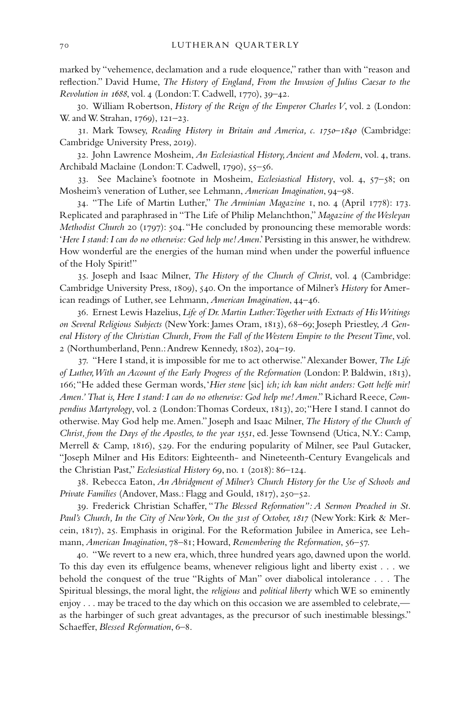marked by "vehemence, declamation and a rude eloquence," rather than with "reason and reflection." David Hume, *The History of England, From the Invasion of Julius Caesar to the Revolution in 1688*, vol. 4 (London: T. Cadwell, 1770), 39–42.

30. William Robertson, *History of the Reign of the Emperor Charles V*, vol. 2 (London: W. and W. Strahan, 1769), 121–23.

31. Mark Towsey, *Reading History in Britain and America, c. 1750–1840* (Cambridge: Cambridge University Press, 2019).

32. John Lawrence Mosheim, *An Ecclesiastical History, Ancient and Modern*, vol. 4, trans. Archibald Maclaine (London: T. Cadwell, 1790), 55–56.

33. See Maclaine's footnote in Mosheim, *Ecclesiastical History*, vol. 4, 57–58; on Mosheim's veneration of Luther, see Lehmann, *American Imagination*, 94–98.

34. "The Life of Martin Luther," *The Arminian Magazine* 1, no. 4 (April 1778): 173. Replicated and paraphrased in "The Life of Philip Melanchthon," *Magazine of the Wesleyan Methodist Church* 20 (1797): 504. "He concluded by pronouncing these memorable words: '*Here I stand: I can do no otherwise: God help me! Amen*.' Persisting in this answer, he withdrew. How wonderful are the energies of the human mind when under the powerful influence of the Holy Spirit!"

35. Joseph and Isaac Milner, *The History of the Church of Christ*, vol. 4 (Cambridge: Cambridge University Press, 1809), 540. On the importance of Milner's *History* for American readings of Luther, see Lehmann, *American Imagination*, 44–46.

36. Ernest Lewis Hazelius, *Life of Dr. Martin Luther: Together with Extracts of His Writings on Several Religious Subjects* (New York: James Oram, 1813), 68–69; Joseph Priestley, *A General History of the Christian Church, From the Fall of the Western Empire to the Present Time*, vol. 2 (Northumberland, Penn.: Andrew Kennedy, 1802), 204–19.

37. "Here I stand, it is impossible for me to act otherwise." Alexander Bower, *The Life of Luther, With an Account of the Early Progress of the Reformation* (London: P. Baldwin, 1813), 166; "He added these German words, '*Hier stene* [sic] *ich; ich kan nicht anders: Gott helfe mir! Amen.' That is, Here I stand: I can do no otherwise: God help me! Amen*." Richard Reece, *Compendius Martyrology*, vol. 2 (London: Thomas Cordeux, 1813), 20; "Here I stand. I cannot do otherwise. May God help me. Amen." Joseph and Isaac Milner, *The History of the Church of Christ, from the Days of the Apostles, to the year 1551*, ed. Jesse Townsend (Utica, N.Y.: Camp, Merrell & Camp, 1816), 529. For the enduring popularity of Milner, see Paul Gutacker, "Joseph Milner and His Editors: Eighteenth- and Nineteenth-Century Evangelicals and the Christian Past," *Ecclesiastical History* 69, no. 1 (2018): 86–124.

38. Rebecca Eaton, *An Abridgment of Milner's Church History for the Use of Schools and Private Families* (Andover, Mass.: Flagg and Gould, 1817), 250–52.

39. Frederick Christian Schaffer, "*The Blessed Reformation": A Sermon Preached in St. Paul's Church, In the City of New York, On the 31st of October, 1817* (New York: Kirk & Mercein, 1817), 25. Emphasis in original. For the Reformation Jubilee in America, see Lehmann, *American Imagination*, 78–81; Howard, *Remembering the Reformation*, 56–57.

40. "We revert to a new era, which, three hundred years ago, dawned upon the world. To this day even its effulgence beams, whenever religious light and liberty exist . . . we behold the conquest of the true "Rights of Man" over diabolical intolerance . . . The Spiritual blessings, the moral light, the *religious* and *political liberty* which WE so eminently enjoy . . . may be traced to the day which on this occasion we are assembled to celebrate, as the harbinger of such great advantages, as the precursor of such inestimable blessings." Schaeffer, *Blessed Reformation*, 6–8.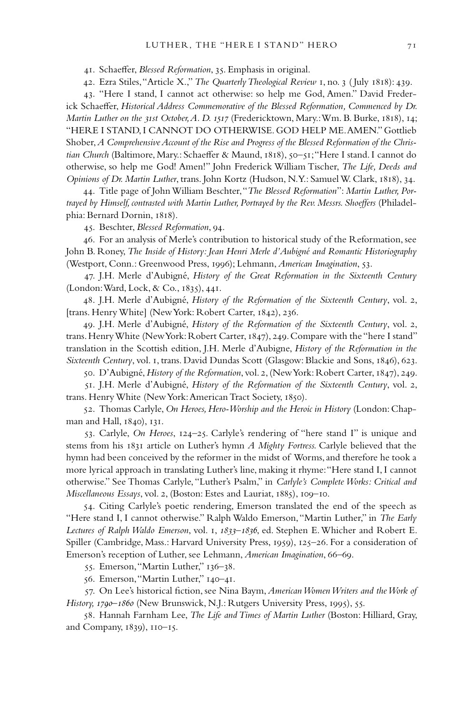41. Schaeffer, *Blessed Reformation*, 35. Emphasis in original.

42. Ezra Stiles, "Article X.," *The Quarterly Theological Review* 1, no. 3 ( July 1818): 439.

43. "Here I stand, I cannot act otherwise: so help me God, Amen." David Frederick Schaeffer, *Historical Address Commemorative of the Blessed Reformation, Commenced by Dr. Martin Luther on the 31st October, A. D. 1517* (Fredericktown, Mary.: Wm. B. Burke, 1818), 14; "HERE I STAND, I CANNOT DO OTHERWISE. GOD HELP ME. AMEN." Gottlieb Shober, *A Comprehensive Account of the Rise and Progress of the Blessed Reformation of the Christian Church* (Baltimore, Mary.: Schaeffer & Maund, 1818), 50–51; "Here I stand. I cannot do otherwise, so help me God! Amen!" John Frederick William Tischer, *The Life, Deeds and Opinions of Dr. Martin Luther*, trans. John Kortz (Hudson, N.Y.: Samuel W. Clark, 1818), 34.

44. Title page of John William Beschter, "*The Blessed Reformation*": *Martin Luther, Portrayed by Himself, contrasted with Martin Luther, Portrayed by the Rev. Messrs. Shoeffers* (Philadelphia: Bernard Dornin, 1818).

45. Beschter, *Blessed Reformation*, 94.

46. For an analysis of Merle's contribution to historical study of the Reformation, see John B. Roney, *The Inside of History: Jean Henri Merle d'Aubigné and Romantic Historiography* (Westport, Conn.: Greenwood Press, 1996); Lehmann, *American Imagination*, 53.

47. J.H. Merle d'Aubigné, *History of the Great Reformation in the Sixteenth Century*  (London: Ward, Lock, & Co., 1835), 441.

48. J.H. Merle d'Aubigné, *History of the Reformation of the Sixteenth Century*, vol. 2, [trans. Henry White] (New York: Robert Carter, 1842), 236.

49. J.H. Merle d'Aubigné, *History of the Reformation of the Sixteenth Century*, vol. 2, trans. Henry White (New York: Robert Carter, 1847), 249. Compare with the "here I stand" translation in the Scottish edition, J.H. Merle d'Aubigne, *History of the Reformation in the Sixteenth Century*, vol. 1, trans. David Dundas Scott (Glasgow: Blackie and Sons, 1846), 623.

50. D'Aubigné, *History of the Reformation*, vol. 2, (New York: Robert Carter, 1847), 249.

51. J.H. Merle d'Aubigné, *History of the Reformation of the Sixteenth Century*, vol. 2, trans. Henry White (New York: American Tract Society, 1850).

52. Thomas Carlyle, *On Heroes, Hero-Worship and the Heroic in History* (London: Chapman and Hall, 1840), 131.

53. Carlyle, *On Heroes*, 124–25. Carlyle's rendering of "here stand I" is unique and stems from his 1831 article on Luther's hymn *A Mighty Fortress.* Carlyle believed that the hymn had been conceived by the reformer in the midst of Worms, and therefore he took a more lyrical approach in translating Luther's line, making it rhyme: "Here stand I, I cannot otherwise." See Thomas Carlyle, "Luther's Psalm," in *Carlyle's Complete Works: Critical and Miscellaneous Essays*, vol. 2, (Boston: Estes and Lauriat, 1885), 109–10.

54. Citing Carlyle's poetic rendering, Emerson translated the end of the speech as "Here stand I, I cannot otherwise." Ralph Waldo Emerson, "Martin Luther," in *The Early Lectures of Ralph Waldo Emerson*, vol. 1, *1833–1836*, ed. Stephen E. Whicher and Robert E. Spiller (Cambridge, Mass.: Harvard University Press, 1959), 125–26. For a consideration of Emerson's reception of Luther, see Lehmann, *American Imagination*, 66–69.

55. Emerson, "Martin Luther," 136–38.

56. Emerson, "Martin Luther," 140–41.

57. On Lee's historical fiction, see Nina Baym, *American Women Writers and the Work of History, 1790–1860* (New Brunswick, N.J.: Rutgers University Press, 1995), 55.

58. Hannah Farnham Lee, *The Life and Times of Martin Luther* (Boston: Hilliard, Gray, and Company, 1839), 110–15.